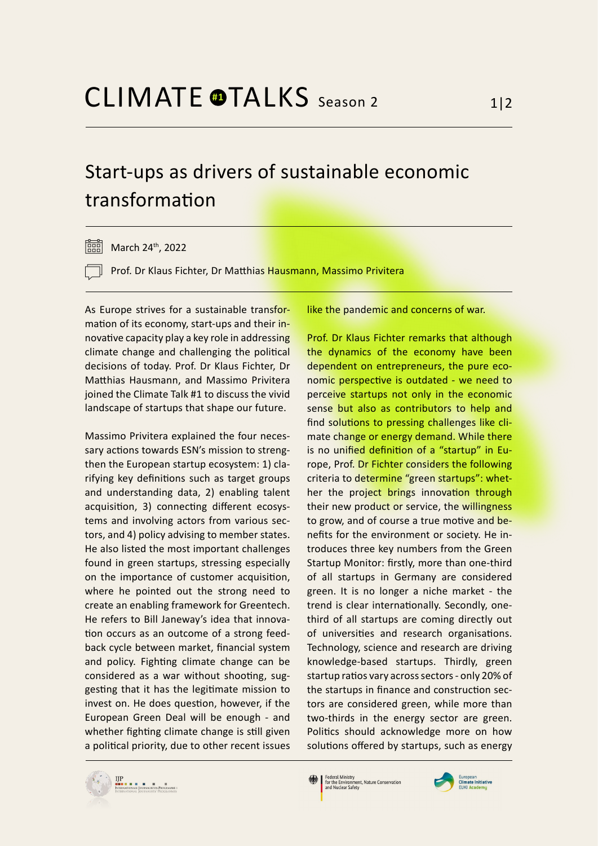## Start-ups as drivers of sustainable economic transformation

 $\overline{360}$  March 24<sup>th</sup>, 2022

Prof. Dr Klaus Fichter, Dr Matthias Hausmann, Massimo Privitera

As Europe strives for a sustainable transformation of its economy, start-ups and their innovative capacity play a key role in addressing climate change and challenging the political decisions of today. Prof. Dr Klaus Fichter, Dr Matthias Hausmann, and Massimo Privitera joined the Climate Talk #1 to discuss the vivid landscape of startups that shape our future.

Massimo Privitera explained the four necessary actions towards ESN's mission to strengthen the European startup ecosystem: 1) clarifying key definitions such as target groups and understanding data, 2) enabling talent acquisition, 3) connecting different ecosystems and involving actors from various sectors, and 4) policy advising to member states. He also listed the most important challenges found in green startups, stressing especially on the importance of customer acquisition, where he pointed out the strong need to create an enabling framework for Greentech. He refers to Bill Janeway's idea that innovation occurs as an outcome of a strong feedback cycle between market, financial system and policy. Fighting climate change can be considered as a war without shooting, suggesting that it has the legitimate mission to invest on. He does question, however, if the European Green Deal will be enough - and whether fighting climate change is still given a political priority, due to other recent issues

like the pandemic and concerns of war.

Prof. Dr Klaus Fichter remarks that although the dynamics of the economy have been dependent on entrepreneurs, the pure economic perspective is outdated - we need to perceive startups not only in the economic sense but also as contributors to help and find solutions to pressing challenges like climate change or energy demand. While there is no unified definition of a "startup" in Europe, Prof. Dr Fichter considers the following criteria to determine "green startups": whether the project brings innovation through their new product or service, the willingness to grow, and of course a true motive and benefits for the environment or society. He introduces three key numbers from the Green Startup Monitor: firstly, more than one-third of all startups in Germany are considered green. It is no longer a niche market - the trend is clear internationally. Secondly, onethird of all startups are coming directly out of universities and research organisations. Technology, science and research are driving knowledge-based startups. Thirdly, green startup ratios vary across sectors - only 20% of the startups in finance and construction sectors are considered green, while more than two-thirds in the energy sector are green. Politics should acknowledge more on how solutions offered by startups, such as energy